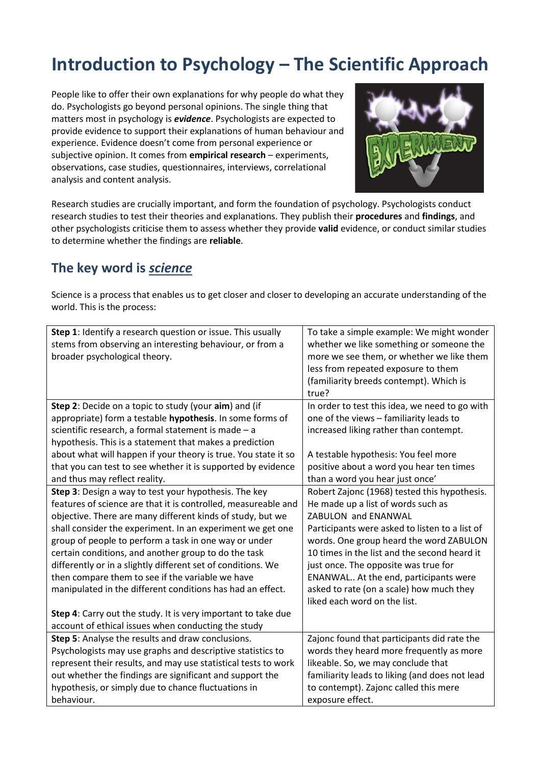# **Introduction to Psychology – The Scientific Approach**

People like to offer their own explanations for why people do what they do. Psychologists go beyond personal opinions. The single thing that matters most in psychology is *evidence*. Psychologists are expected to provide evidence to support their explanations of human behaviour and experience. Evidence doesn't come from personal experience or subjective opinion. It comes from **empirical research** – experiments, observations, case studies, questionnaires, interviews, correlational analysis and content analysis.



Research studies are crucially important, and form the foundation of psychology. Psychologists conduct research studies to test their theories and explanations. They publish their **procedures** and **findings**, and other psychologists criticise them to assess whether they provide **valid** evidence, or conduct similar studies to determine whether the findings are **reliable**.

### **The key word is** *science*

Science is a process that enables us to get closer and closer to developing an accurate understanding of the world. This is the process:

| Step 1: Identify a research question or issue. This usually<br>stems from observing an interesting behaviour, or from a<br>broader psychological theory. | To take a simple example: We might wonder<br>whether we like something or someone the<br>more we see them, or whether we like them<br>less from repeated exposure to them<br>(familiarity breeds contempt). Which is<br>true? |
|----------------------------------------------------------------------------------------------------------------------------------------------------------|-------------------------------------------------------------------------------------------------------------------------------------------------------------------------------------------------------------------------------|
| Step 2: Decide on a topic to study (your aim) and (if                                                                                                    | In order to test this idea, we need to go with                                                                                                                                                                                |
| appropriate) form a testable hypothesis. In some forms of                                                                                                | one of the views - familiarity leads to                                                                                                                                                                                       |
| scientific research, a formal statement is made - a                                                                                                      | increased liking rather than contempt.                                                                                                                                                                                        |
| hypothesis. This is a statement that makes a prediction                                                                                                  |                                                                                                                                                                                                                               |
| about what will happen if your theory is true. You state it so                                                                                           | A testable hypothesis: You feel more                                                                                                                                                                                          |
| that you can test to see whether it is supported by evidence                                                                                             | positive about a word you hear ten times                                                                                                                                                                                      |
| and thus may reflect reality.                                                                                                                            | than a word you hear just once'                                                                                                                                                                                               |
| Step 3: Design a way to test your hypothesis. The key                                                                                                    | Robert Zajonc (1968) tested this hypothesis.                                                                                                                                                                                  |
| features of science are that it is controlled, measureable and                                                                                           | He made up a list of words such as                                                                                                                                                                                            |
| objective. There are many different kinds of study, but we                                                                                               | ZABULON and ENANWAL                                                                                                                                                                                                           |
| shall consider the experiment. In an experiment we get one                                                                                               | Participants were asked to listen to a list of                                                                                                                                                                                |
| group of people to perform a task in one way or under                                                                                                    | words. One group heard the word ZABULON                                                                                                                                                                                       |
| certain conditions, and another group to do the task                                                                                                     | 10 times in the list and the second heard it                                                                                                                                                                                  |
| differently or in a slightly different set of conditions. We                                                                                             | just once. The opposite was true for                                                                                                                                                                                          |
| then compare them to see if the variable we have                                                                                                         | ENANWAL At the end, participants were                                                                                                                                                                                         |
| manipulated in the different conditions has had an effect.                                                                                               | asked to rate (on a scale) how much they<br>liked each word on the list.                                                                                                                                                      |
| Step 4: Carry out the study. It is very important to take due                                                                                            |                                                                                                                                                                                                                               |
| account of ethical issues when conducting the study                                                                                                      |                                                                                                                                                                                                                               |
| Step 5: Analyse the results and draw conclusions.                                                                                                        | Zajonc found that participants did rate the                                                                                                                                                                                   |
| Psychologists may use graphs and descriptive statistics to                                                                                               | words they heard more frequently as more                                                                                                                                                                                      |
| represent their results, and may use statistical tests to work                                                                                           | likeable. So, we may conclude that                                                                                                                                                                                            |
| out whether the findings are significant and support the                                                                                                 | familiarity leads to liking (and does not lead                                                                                                                                                                                |
| hypothesis, or simply due to chance fluctuations in                                                                                                      | to contempt). Zajonc called this mere                                                                                                                                                                                         |
| behaviour.                                                                                                                                               | exposure effect.                                                                                                                                                                                                              |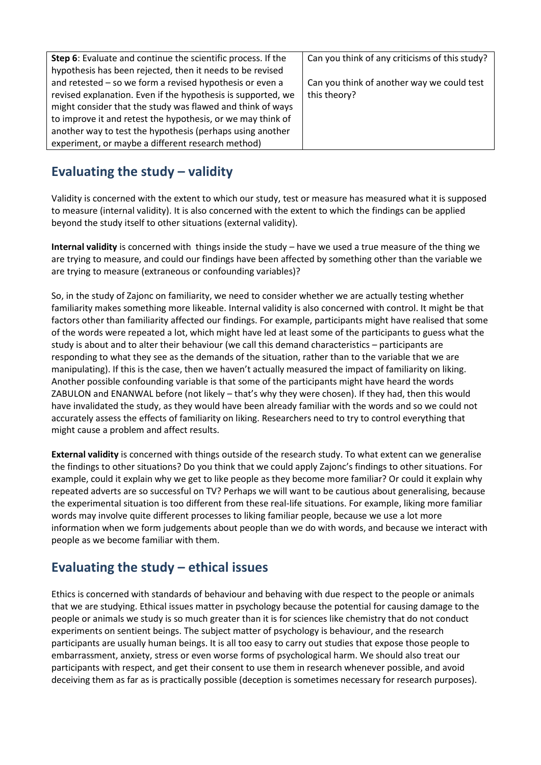| Step 6: Evaluate and continue the scientific process. If the | Can you think of any criticisms of this study? |
|--------------------------------------------------------------|------------------------------------------------|
| hypothesis has been rejected, then it needs to be revised    |                                                |
| and retested - so we form a revised hypothesis or even a     | Can you think of another way we could test     |
| revised explanation. Even if the hypothesis is supported, we | this theory?                                   |
| might consider that the study was flawed and think of ways   |                                                |
| to improve it and retest the hypothesis, or we may think of  |                                                |
| another way to test the hypothesis (perhaps using another    |                                                |
| experiment, or maybe a different research method)            |                                                |

### **Evaluating the study – validity**

Validity is concerned with the extent to which our study, test or measure has measured what it is supposed to measure (internal validity). It is also concerned with the extent to which the findings can be applied beyond the study itself to other situations (external validity).

**Internal validity** is concerned with things inside the study – have we used a true measure of the thing we are trying to measure, and could our findings have been affected by something other than the variable we are trying to measure (extraneous or confounding variables)?

So, in the study of Zajonc on familiarity, we need to consider whether we are actually testing whether familiarity makes something more likeable. Internal validity is also concerned with control. It might be that factors other than familiarity affected our findings. For example, participants might have realised that some of the words were repeated a lot, which might have led at least some of the participants to guess what the study is about and to alter their behaviour (we call this demand characteristics – participants are responding to what they see as the demands of the situation, rather than to the variable that we are manipulating). If this is the case, then we haven't actually measured the impact of familiarity on liking. Another possible confounding variable is that some of the participants might have heard the words ZABULON and ENANWAL before (not likely – that's why they were chosen). If they had, then this would have invalidated the study, as they would have been already familiar with the words and so we could not accurately assess the effects of familiarity on liking. Researchers need to try to control everything that might cause a problem and affect results.

**External validity** is concerned with things outside of the research study. To what extent can we generalise the findings to other situations? Do you think that we could apply Zajonc's findings to other situations. For example, could it explain why we get to like people as they become more familiar? Or could it explain why repeated adverts are so successful on TV? Perhaps we will want to be cautious about generalising, because the experimental situation is too different from these real-life situations. For example, liking more familiar words may involve quite different processes to liking familiar people, because we use a lot more information when we form judgements about people than we do with words, and because we interact with people as we become familiar with them.

### **Evaluating the study – ethical issues**

Ethics is concerned with standards of behaviour and behaving with due respect to the people or animals that we are studying. Ethical issues matter in psychology because the potential for causing damage to the people or animals we study is so much greater than it is for sciences like chemistry that do not conduct experiments on sentient beings. The subject matter of psychology is behaviour, and the research participants are usually human beings. It is all too easy to carry out studies that expose those people to embarrassment, anxiety, stress or even worse forms of psychological harm. We should also treat our participants with respect, and get their consent to use them in research whenever possible, and avoid deceiving them as far as is practically possible (deception is sometimes necessary for research purposes).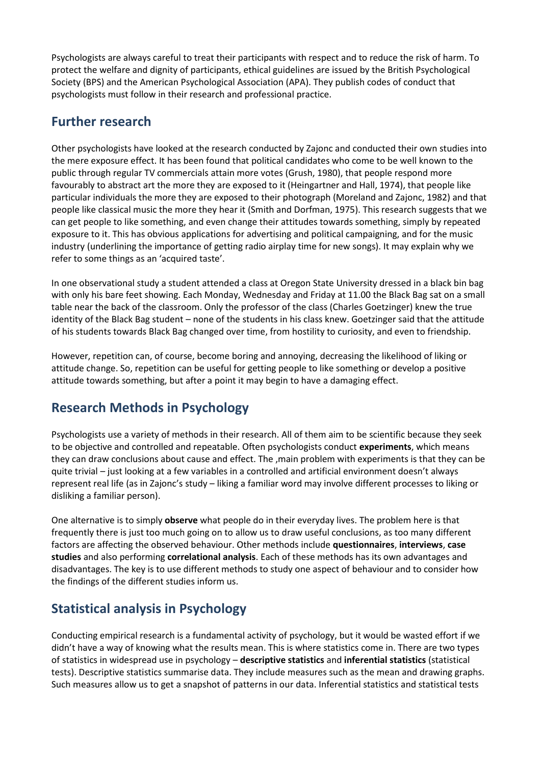Psychologists are always careful to treat their participants with respect and to reduce the risk of harm. To protect the welfare and dignity of participants, ethical guidelines are issued by the British Psychological Society (BPS) and the American Psychological Association (APA). They publish codes of conduct that psychologists must follow in their research and professional practice.

### **Further research**

Other psychologists have looked at the research conducted by Zajonc and conducted their own studies into the mere exposure effect. It has been found that political candidates who come to be well known to the public through regular TV commercials attain more votes (Grush, 1980), that people respond more favourably to abstract art the more they are exposed to it (Heingartner and Hall, 1974), that people like particular individuals the more they are exposed to their photograph (Moreland and Zajonc, 1982) and that people like classical music the more they hear it (Smith and Dorfman, 1975). This research suggests that we can get people to like something, and even change their attitudes towards something, simply by repeated exposure to it. This has obvious applications for advertising and political campaigning, and for the music industry (underlining the importance of getting radio airplay time for new songs). It may explain why we refer to some things as an 'acquired taste'.

In one observational study a student attended a class at Oregon State University dressed in a black bin bag with only his bare feet showing. Each Monday, Wednesday and Friday at 11.00 the Black Bag sat on a small table near the back of the classroom. Only the professor of the class (Charles Goetzinger) knew the true identity of the Black Bag student – none of the students in his class knew. Goetzinger said that the attitude of his students towards Black Bag changed over time, from hostility to curiosity, and even to friendship.

However, repetition can, of course, become boring and annoying, decreasing the likelihood of liking or attitude change. So, repetition can be useful for getting people to like something or develop a positive attitude towards something, but after a point it may begin to have a damaging effect.

### **Research Methods in Psychology**

Psychologists use a variety of methods in their research. All of them aim to be scientific because they seek to be objective and controlled and repeatable. Often psychologists conduct **experiments**, which means they can draw conclusions about cause and effect. The ,main problem with experiments is that they can be quite trivial – just looking at a few variables in a controlled and artificial environment doesn't always represent real life (as in Zajonc's study – liking a familiar word may involve different processes to liking or disliking a familiar person).

One alternative is to simply **observe** what people do in their everyday lives. The problem here is that frequently there is just too much going on to allow us to draw useful conclusions, as too many different factors are affecting the observed behaviour. Other methods include **questionnaires**, **interviews**, **case studies** and also performing **correlational analysis**. Each of these methods has its own advantages and disadvantages. The key is to use different methods to study one aspect of behaviour and to consider how the findings of the different studies inform us.

### **Statistical analysis in Psychology**

Conducting empirical research is a fundamental activity of psychology, but it would be wasted effort if we didn't have a way of knowing what the results mean. This is where statistics come in. There are two types of statistics in widespread use in psychology – **descriptive statistics** and **inferential statistics** (statistical tests). Descriptive statistics summarise data. They include measures such as the mean and drawing graphs. Such measures allow us to get a snapshot of patterns in our data. Inferential statistics and statistical tests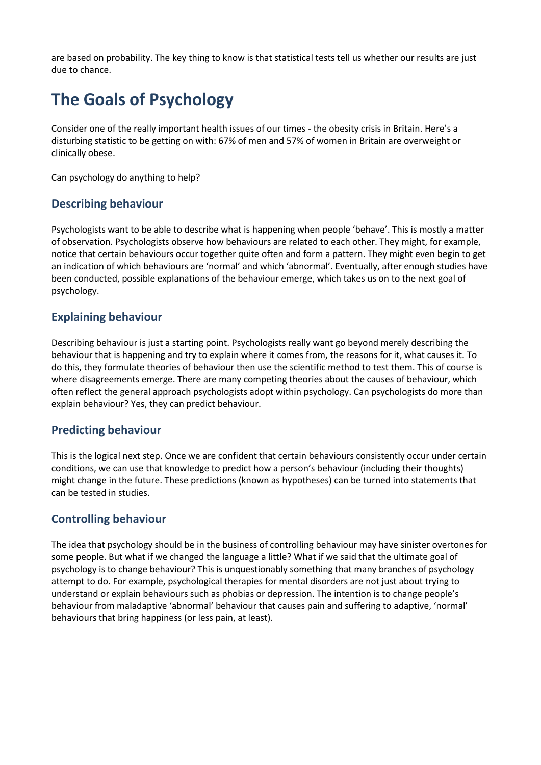are based on probability. The key thing to know is that statistical tests tell us whether our results are just due to chance.

## **The Goals of Psychology**

Consider one of the really important health issues of our times - the obesity crisis in Britain. Here's a disturbing statistic to be getting on with: 67% of men and 57% of women in Britain are overweight or clinically obese.

Can psychology do anything to help?

#### **Describing behaviour**

Psychologists want to be able to describe what is happening when people 'behave'. This is mostly a matter of observation. Psychologists observe how behaviours are related to each other. They might, for example, notice that certain behaviours occur together quite often and form a pattern. They might even begin to get an indication of which behaviours are 'normal' and which 'abnormal'. Eventually, after enough studies have been conducted, possible explanations of the behaviour emerge, which takes us on to the next goal of psychology.

#### **Explaining behaviour**

Describing behaviour is just a starting point. Psychologists really want go beyond merely describing the behaviour that is happening and try to explain where it comes from, the reasons for it, what causes it. To do this, they formulate theories of behaviour then use the scientific method to test them. This of course is where disagreements emerge. There are many competing theories about the causes of behaviour, which often reflect the general approach psychologists adopt within psychology. Can psychologists do more than explain behaviour? Yes, they can predict behaviour.

#### **Predicting behaviour**

This is the logical next step. Once we are confident that certain behaviours consistently occur under certain conditions, we can use that knowledge to predict how a person's behaviour (including their thoughts) might change in the future. These predictions (known as hypotheses) can be turned into statements that can be tested in studies.

#### **Controlling behaviour**

The idea that psychology should be in the business of controlling behaviour may have sinister overtones for some people. But what if we changed the language a little? What if we said that the ultimate goal of psychology is to change behaviour? This is unquestionably something that many branches of psychology attempt to do. For example, psychological therapies for mental disorders are not just about trying to understand or explain behaviours such as phobias or depression. The intention is to change people's behaviour from maladaptive 'abnormal' behaviour that causes pain and suffering to adaptive, 'normal' behaviours that bring happiness (or less pain, at least).